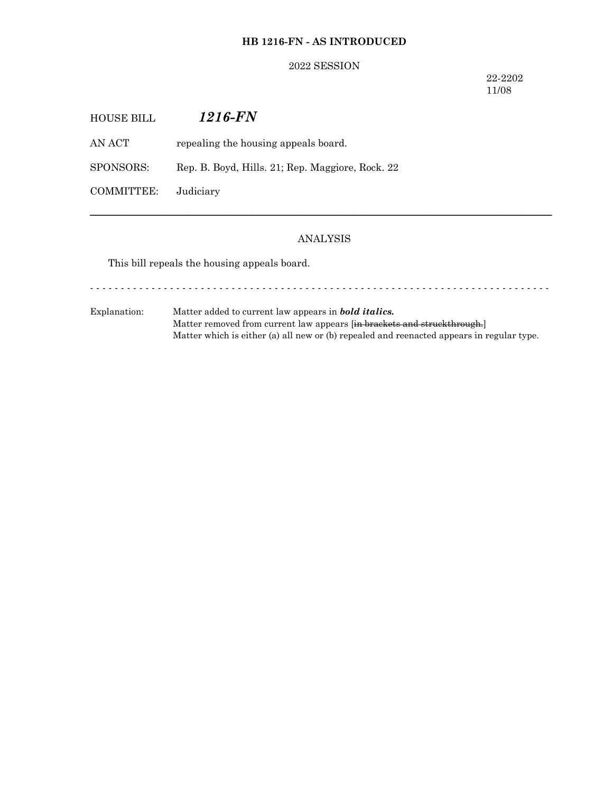### **HB 1216-FN - AS INTRODUCED**

#### 2022 SESSION

22-2202 11/08

| HOUSE BILL | 1216-FN                                          |
|------------|--------------------------------------------------|
| AN ACT-    | repealing the housing appeals board.             |
| SPONSORS:  | Rep. B. Boyd, Hills. 21; Rep. Maggiore, Rock. 22 |
| COMMITTEE: | Judiciary                                        |

#### ANALYSIS

─────────────────────────────────────────────────────────────────

This bill repeals the housing appeals board.

Explanation: Matter added to current law appears in *bold italics.* Matter removed from current law appears [in brackets and struckthrough.] Matter which is either (a) all new or (b) repealed and reenacted appears in regular type.

- - - - - - - - - - - - - - - - - - - - - - - - - - - - - - - - - - - - - - - - - - - - - - - - - - - - - - - - - - - - - - - - - - - - - - - - - - -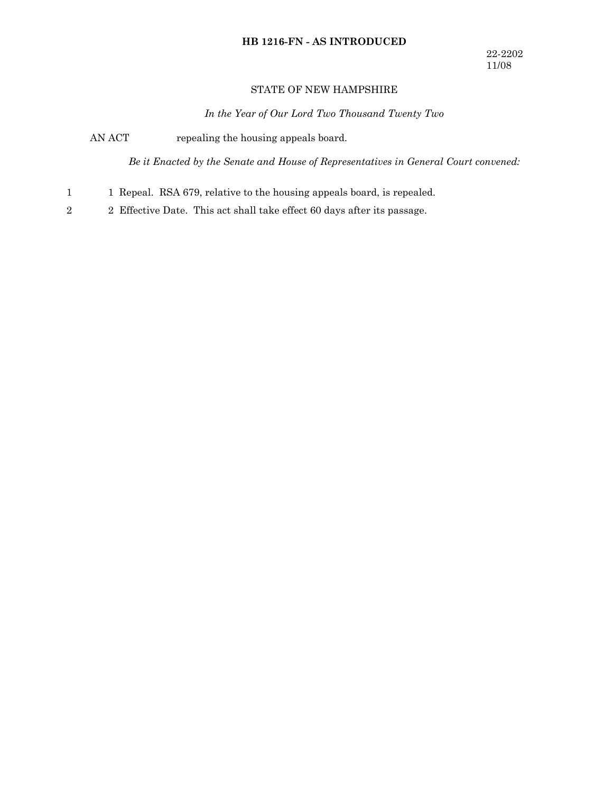# **HB 1216-FN - AS INTRODUCED**

### STATE OF NEW HAMPSHIRE

*In the Year of Our Lord Two Thousand Twenty Two*

AN ACT repealing the housing appeals board.

*Be it Enacted by the Senate and House of Representatives in General Court convened:*

- 1 Repeal. RSA 679, relative to the housing appeals board, is repealed. 1
- 2 Effective Date. This act shall take effect 60 days after its passage. 2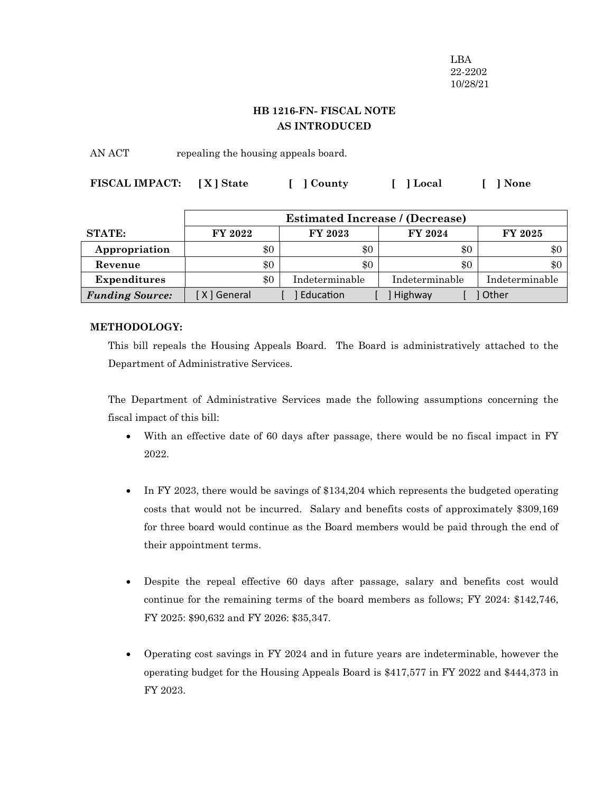LBA 22-2202 10/28/21

## **HB 1216-FN- FISCAL NOTE AS INTRODUCED**

AN ACT repealing the housing appeals board.

| FISCAL IMPACT: [X] State | [ ] County | [ ] Local | [ ] None |
|--------------------------|------------|-----------|----------|
|                          |            |           |          |

|                        | <b>Estimated Increase / (Decrease)</b> |                |                |                |
|------------------------|----------------------------------------|----------------|----------------|----------------|
| <b>STATE:</b>          | <b>FY 2022</b>                         | FY 2023        | <b>FY 2024</b> | <b>FY 2025</b> |
| Appropriation          | \$0                                    | \$0            | \$0            | \$0            |
| Revenue                | \$0                                    | \$0            | \$0            | \$0            |
| <b>Expenditures</b>    | \$0                                    | Indeterminable | Indeterminable | Indeterminable |
| <b>Funding Source:</b> | X ] General                            | Education      | Highway        | <b>Other</b>   |

## **METHODOLOGY:**

This bill repeals the Housing Appeals Board. The Board is administratively attached to the Department of Administrative Services.

The Department of Administrative Services made the following assumptions concerning the fiscal impact of this bill:

- With an effective date of 60 days after passage, there would be no fiscal impact in FY 2022.
- In FY 2023, there would be savings of \$134,204 which represents the budgeted operating costs that would not be incurred. Salary and benefits costs of approximately \$309,169 for three board would continue as the Board members would be paid through the end of their appointment terms.
- · Despite the repeal effective 60 days after passage, salary and benefits cost would continue for the remaining terms of the board members as follows; FY 2024: \$142,746, FY 2025: \$90,632 and FY 2026: \$35,347.
- · Operating cost savings in FY 2024 and in future years are indeterminable, however the operating budget for the Housing Appeals Board is \$417,577 in FY 2022 and \$444,373 in FY 2023.